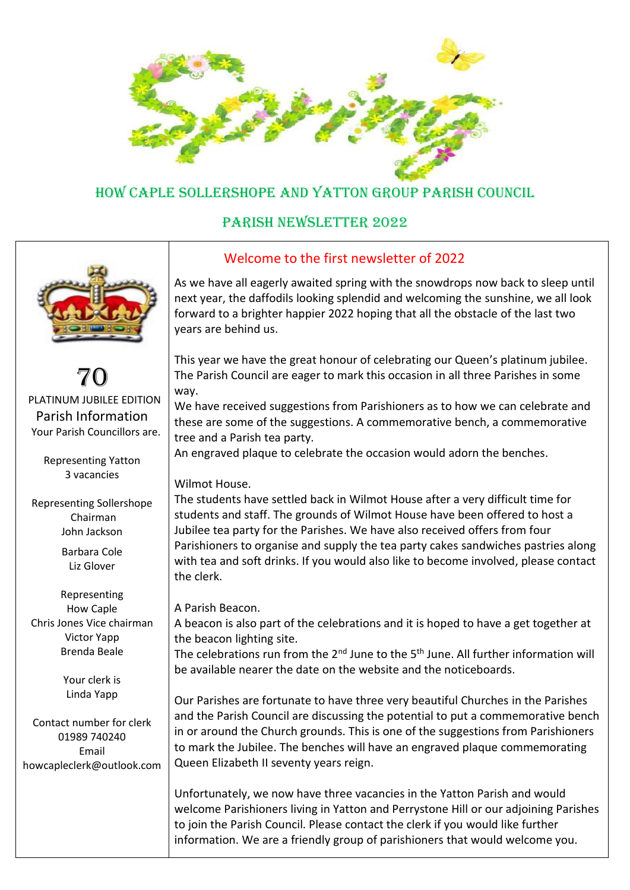

## HOW CAPLE SOLLERSHOPE AND YATTON GROUP PARISH COUNCIL

## Parish newsletter 2022



## Welcome to the first newsletter of 2022

As we have all eagerly awaited spring with the snowdrops now back to sleep until next year, the daffodils looking splendid and welcoming the sunshine, we all look forward to a brighter happier 2022 hoping that all the obstacle of the last two years are behind us.

70 PLATINUM JUBILEE EDITION Parish Information Your Parish Councillors are.

> Representing Yatton 3 vacancies

Representing Sollershope Chairman John Jackson

> Barbara Cole Liz Glover

Representing How Caple Chris Jones Vice chairman Victor Yapp Brenda Beale

> Your clerk is Linda Yapp

Contact number for clerk 01989 740240 Email howcapleclerk@outlook.com This year we have the great honour of celebrating our Queen's platinum jubilee. The Parish Council are eager to mark this occasion in all three Parishes in some way.

We have received suggestions from Parishioners as to how we can celebrate and these are some of the suggestions. A commemorative bench, a commemorative tree and a Parish tea party.

An engraved plaque to celebrate the occasion would adorn the benches.

Wilmot House.

The students have settled back in Wilmot House after a very difficult time for students and staff. The grounds of Wilmot House have been offered to host a Jubilee tea party for the Parishes. We have also received offers from four Parishioners to organise and supply the tea party cakes sandwiches pastries along with tea and soft drinks. If you would also like to become involved, please contact the clerk.

A Parish Beacon.

A beacon is also part of the celebrations and it is hoped to have a get together at the beacon lighting site.

The celebrations run from the  $2^{nd}$  June to the  $5^{th}$  June. All further information will be available nearer the date on the website and the noticeboards.

Our Parishes are fortunate to have three very beautiful Churches in the Parishes and the Parish Council are discussing the potential to put a commemorative bench in or around the Church grounds. This is one of the suggestions from Parishioners to mark the Jubilee. The benches will have an engraved plaque commemorating Queen Elizabeth II seventy years reign.

Unfortunately, we now have three vacancies in the Yatton Parish and would welcome Parishioners living in Yatton and Perrystone Hill or our adjoining Parishes to join the Parish Council. Please contact the clerk if you would like further information. We are a friendly group of parishioners that would welcome you.